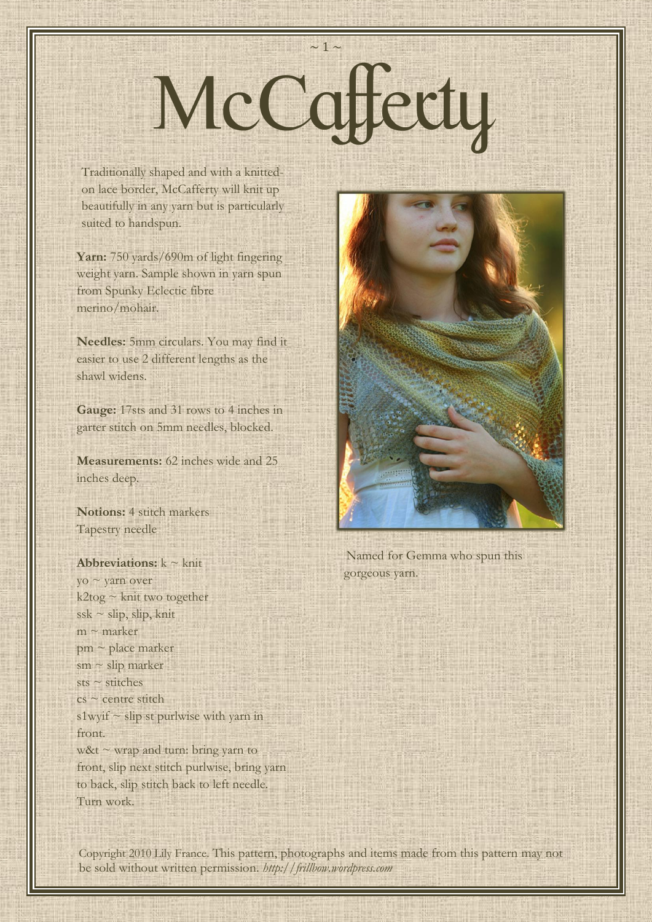# $\sim$  1  $\sim$ McCaffecty

 on lace border, McCafferty will knit up Traditionally shaped and with a knittedbeautifully in any yarn but is particularly suited to handspun.

 from Spunky Eclectic fibre Yarn: 750 yards/690m of light fingering weight yarn. Sample shown in yarn spun merino/mohair.

**Needles:** 5mm circulars. You may find it easier to use 2 different lengths as the shawl widens.

**Gauge:** 17sts and 31 rows to 4 inches in garter stitch on 5mm needles, blocked.

**Measurements:** 62 inches wide and 25 inches deep.

**Notions:** 4 stitch markers Tapestry needle

**Abbreviations:**  $k \sim k$ nit yo ~ yarn over  $k2$ tog ~ knit two together  $s$ sk ~ slip, slip, knit  $m \sim$  marker  $pm \sim$  place marker sm ~ slip marker sts  $\sim$  stitches  $cs \sim$  centre stitch s1wyif  $\sim$  slip st purlwise with yarn in front.  $w\&t \sim w$ rap and turn: bring yarn to front, slip next stitch purlwise, bring yarn to back, slip stitch back to left needle. Turn work.



Named for Gemma who spun this gorgeous yarn.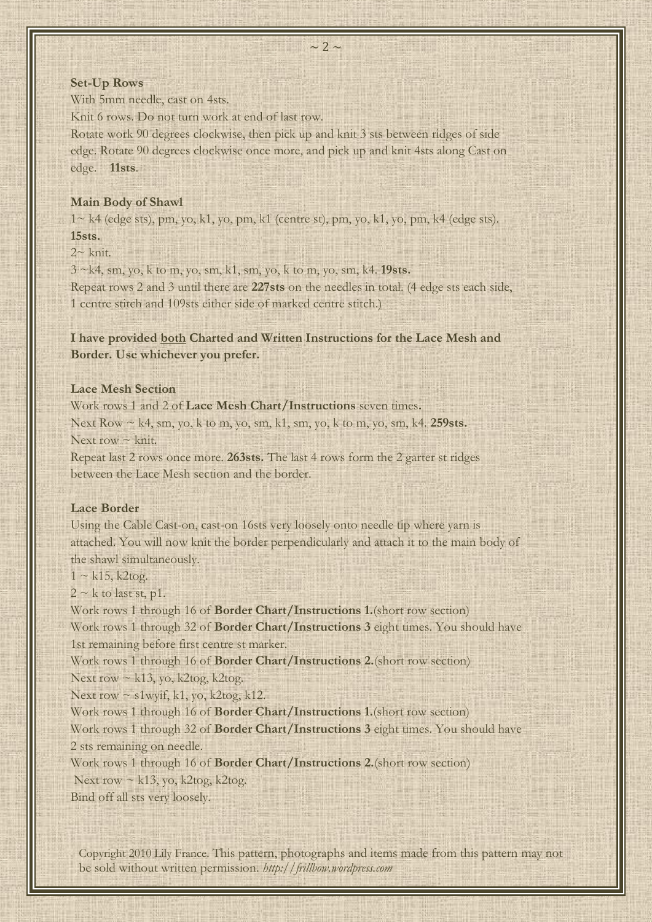#### **Set-Up Rows**

With 5mm needle, cast on 4sts.

Knit 6 rows. Do not turn work at end of last row.

Rotate work 90 degrees clockwise, then pick up and knit 3 sts between ridges of side edge. Rotate 90 degrees clockwise once more, and pick up and knit 4sts along Cast on edge. **11sts**.

#### **Main Body of Shawl**

 $1 \sim k4$  (edge sts), pm, yo, k1, yo, pm, k1 (centre st), pm, yo, k1, yo, pm, k4 (edge sts). **15sts.**

 $2~$ knit.

3 ~k4, sm, yo, k to m, yo, sm, k1, sm, yo, k to m, yo, sm, k4. **19sts.**

Repeat rows 2 and 3 until there are **227sts** on the needles in total. (4 edge sts each side, 1 centre stitch and 109sts either side of marked centre stitch.)

**I have provided both Charted and Written Instructions for the Lace Mesh and Border. Use whichever you prefer.**

#### **Lace Mesh Section**

Work rows 1 and 2 of **Lace Mesh Chart/Instructions** seven times**.** Next Row ~ k4, sm, yo, k to m, yo, sm, k1, sm, yo, k to m, yo, sm, k4. **259sts.** Next row  $\sim$  knit.

Repeat last 2 rows once more. **263sts.** The last 4 rows form the 2 garter st ridges between the Lace Mesh section and the border.

#### **Lace Border**

Using the Cable Cast-on, cast-on 16sts very loosely onto needle tip where yarn is attached. You will now knit the border perpendicularly and attach it to the main body of the shawl simultaneously.

 $1 \sim k15$ , k2tog.

 $2 \sim k$  to last st, p1.

Work rows 1 through 16 of **Border Chart/Instructions 1.**(short row section) Work rows 1 through 32 of **Border Chart/Instructions 3** eight times. You should have 1st remaining before first centre st marker.

Work rows 1 through 16 of **Border Chart/Instructions 2.**(short row section)

Next row  $\sim$  k13, yo, k2tog, k2tog.

Next row  $\sim$  s1wyif, k1, yo, k2tog, k12.

Work rows 1 through 16 of **Border Chart/Instructions 1.**(short row section)

Work rows 1 through 32 of **Border Chart/Instructions 3** eight times. You should have 2 sts remaining on needle.

Work rows 1 through 16 of **Border Chart/Instructions 2.**(short row section)

Next row  $\sim$  k13, yo, k2tog, k2tog.

Bind off all sts very loosely.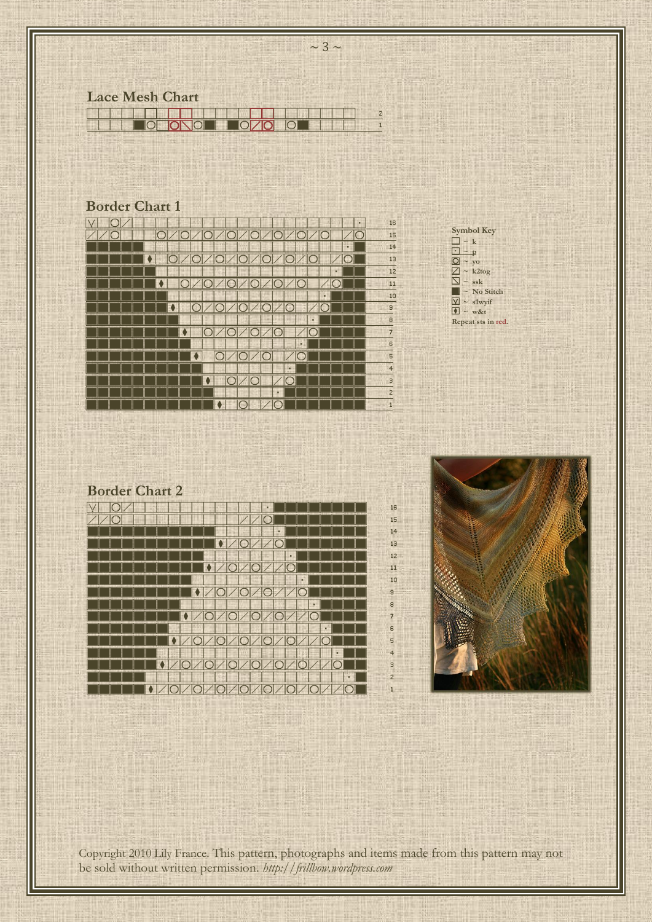

 $\sim$  3  $\sim$ 

## **Border Chart 1**

| ٠                    | 16             |
|----------------------|----------------|
| œ                    | 15             |
| ٠                    | 14             |
|                      | 13             |
| н                    | 12             |
|                      | 11             |
| п                    | 10             |
|                      | $9 -$          |
| п                    | $\circ$        |
|                      | $\overline{7}$ |
| н                    | $\mathsf{s}$   |
|                      | 5              |
| a.<br>$\overline{a}$ | $\overline{4}$ |
|                      | $\mathbf{B}$   |
| п                    | $\overline{2}$ |
| r -                  | $-1$           |



## **Border Chart 2**

| V<br>٠<br>IC. | 16              |
|---------------|-----------------|
| ◠             | 15              |
| г             | 14              |
|               | 13              |
| г             | 12              |
|               | 11              |
| ٠             | 10              |
|               | $\mathbf{g}$    |
| ٠             | $\tt s$         |
|               | $\overline{7}$  |
| ٠             | $6\overline{6}$ |
|               | 5               |
| ×             | $\overline{4}$  |
|               | $\overline{a}$  |
| a.            | $\overline{2}$  |
| C             | $\mathbf{1}$    |
|               |                 |

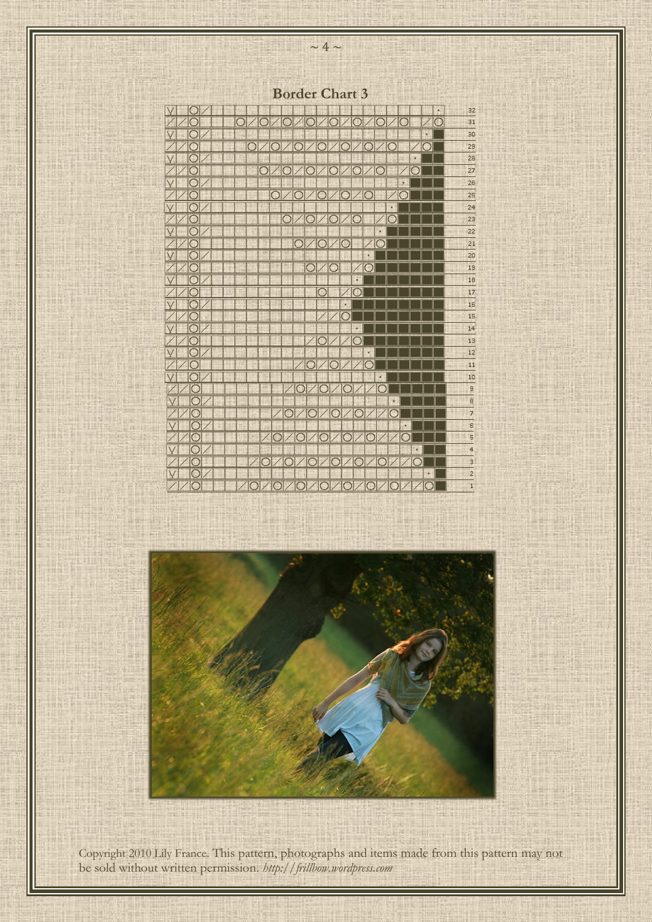**Border Chart 3**

| $\blacksquare$ | ×                                                          | 32                                                              |
|----------------|------------------------------------------------------------|-----------------------------------------------------------------|
|                | $\overline{\bigcirc}$                                      | 31                                                              |
| $\overline{C}$ | ٠                                                          | 30                                                              |
|                | C 1                                                        | 29                                                              |
| $\cap$         | Ŀ.                                                         | 28                                                              |
|                | $\bigcirc$<br>∩<br>D<br>$\Box$<br>$\bigcirc$<br>$\bigcirc$ | 27                                                              |
|                | ä,                                                         | 26                                                              |
|                | $\bigcirc$<br>◯<br>∍                                       | 25                                                              |
|                | i,                                                         | 24                                                              |
|                | $\subset$                                                  | 23                                                              |
|                | ä                                                          | 22                                                              |
|                | g)<br>D                                                    | 21                                                              |
|                | Ξ                                                          | 20                                                              |
|                | $\overline{O}$<br>∩                                        | 19                                                              |
|                | ×                                                          | 18                                                              |
| œ              | ◠                                                          | 17                                                              |
|                | ٠                                                          | 16                                                              |
|                |                                                            | 15                                                              |
|                | ı,                                                         | 14                                                              |
| С              |                                                            | 13                                                              |
|                | ×,                                                         | 12                                                              |
|                |                                                            | 11                                                              |
| $\overline{ }$ | P,                                                         |                                                                 |
|                | ∩<br>∩<br>∩                                                | $\begin{array}{c c}\n10 \\ \hline\n9 \\ \hline\n7\n\end{array}$ |
|                | ×.                                                         |                                                                 |
|                | $\subset$<br>∩                                             |                                                                 |
| $\cap$         | è                                                          | $\frac{1}{2}$                                                   |
|                | Ð                                                          | ۰                                                               |
|                | ×                                                          | $\overline{\mathbf{r}}$                                         |
| H              | ∩<br>◯<br>◯<br>◘                                           | $\frac{a}{2}$                                                   |
|                | ٠                                                          |                                                                 |
|                |                                                            | $\overline{1}$                                                  |